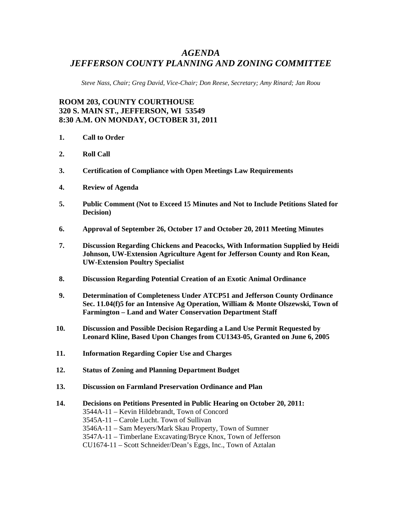# *AGENDA JEFFERSON COUNTY PLANNING AND ZONING COMMITTEE*

*Steve Nass, Chair; Greg David, Vice-Chair; Don Reese, Secretary; Amy Rinard; Jan Roou* 

## **ROOM 203, COUNTY COURTHOUSE 320 S. MAIN ST., JEFFERSON, WI 53549 8:30 A.M. ON MONDAY, OCTOBER 31, 2011**

- **1. Call to Order**
- **2. Roll Call**
- **3. Certification of Compliance with Open Meetings Law Requirements**
- **4. Review of Agenda**
- **5. Public Comment (Not to Exceed 15 Minutes and Not to Include Petitions Slated for Decision)**
- **6. Approval of September 26, October 17 and October 20, 2011 Meeting Minutes**
- **7. Discussion Regarding Chickens and Peacocks, With Information Supplied by Heidi Johnson, UW-Extension Agriculture Agent for Jefferson County and Ron Kean, UW-Extension Poultry Specialist**
- **8. Discussion Regarding Potential Creation of an Exotic Animal Ordinance**
- **9. Determination of Completeness Under ATCP51 and Jefferson County Ordinance Sec. 11.04(f)5 for an Intensive Ag Operation, William & Monte Olszewski, Town of Farmington – Land and Water Conservation Department Staff**
- **10. Discussion and Possible Decision Regarding a Land Use Permit Requested by Leonard Kline, Based Upon Changes from CU1343-05, Granted on June 6, 2005**
- **11. Information Regarding Copier Use and Charges**
- **12. Status of Zoning and Planning Department Budget**
- **13. Discussion on Farmland Preservation Ordinance and Plan**

#### **14. Decisions on Petitions Presented in Public Hearing on October 20, 2011:**

3544A-11 – Kevin Hildebrandt, Town of Concord

3545A-11 – Carole Lucht. Town of Sullivan

3546A-11 – Sam Meyers/Mark Skau Property, Town of Sumner

3547A-11 – Timberlane Excavating/Bryce Knox, Town of Jefferson

CU1674-11 – Scott Schneider/Dean's Eggs, Inc., Town of Aztalan